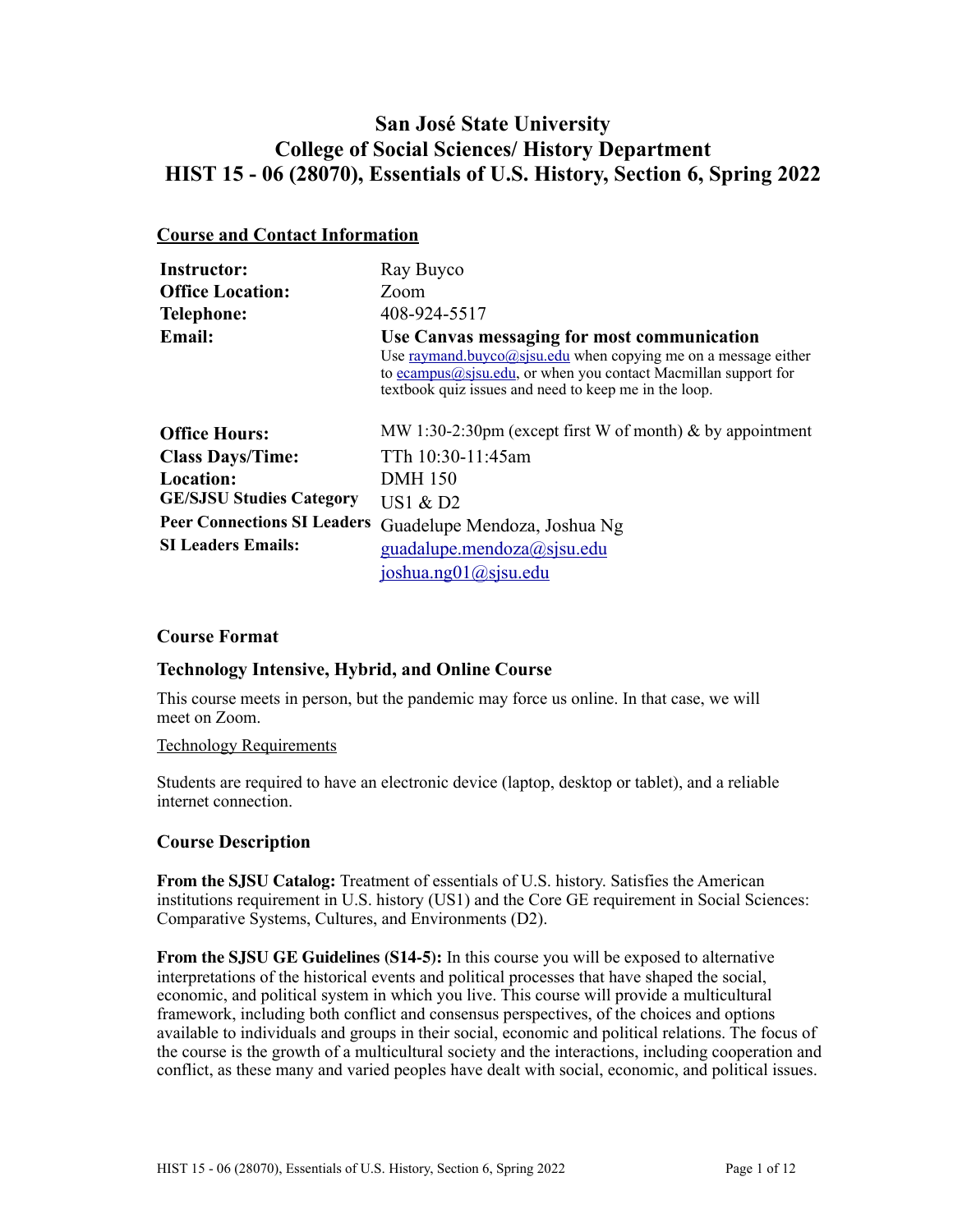## **San José State University College of Social Sciences/ History Department HIST 15 - 06 (28070), Essentials of U.S. History, Section 6, Spring 2022**

## **Course and Contact Information**

| <b>Instructor:</b>                 | Ray Buyco                                                                                                                                                                                                                                   |
|------------------------------------|---------------------------------------------------------------------------------------------------------------------------------------------------------------------------------------------------------------------------------------------|
| <b>Office Location:</b>            | Zoom                                                                                                                                                                                                                                        |
| Telephone:                         | 408-924-5517                                                                                                                                                                                                                                |
| <b>Email:</b>                      | Use Canvas messaging for most communication<br>Use raymand.buyco@sjsu.edu when copying me on a message either<br>to $ecampus@sisu.edu$ , or when you contact Macmillan support for<br>textbook quiz issues and need to keep me in the loop. |
| <b>Office Hours:</b>               | MW 1:30-2:30pm (except first W of month) $\&$ by appointment                                                                                                                                                                                |
| <b>Class Days/Time:</b>            | TTh 10:30-11:45am                                                                                                                                                                                                                           |
| <b>Location:</b>                   | <b>DMH</b> 150                                                                                                                                                                                                                              |
| <b>GE/SJSU Studies Category</b>    | US1 $&$ D <sub>2</sub>                                                                                                                                                                                                                      |
| <b>Peer Connections SI Leaders</b> | Guadelupe Mendoza, Joshua Ng                                                                                                                                                                                                                |
| <b>SI Leaders Emails:</b>          | guadalupe.mendoza@sjsu.edu                                                                                                                                                                                                                  |
|                                    | ioshua.ng01@sisu.edu                                                                                                                                                                                                                        |

## **Course Format**

## **Technology Intensive, Hybrid, and Online Course**

This course meets in person, but the pandemic may force us online. In that case, we will meet on Zoom.

#### Technology Requirements

Students are required to have an electronic device (laptop, desktop or tablet), and a reliable internet connection.

## **Course Description**

**From the SJSU Catalog:** Treatment of essentials of U.S. history. Satisfies the American institutions requirement in U.S. history (US1) and the Core GE requirement in Social Sciences: Comparative Systems, Cultures, and Environments (D2).

**From the SJSU GE Guidelines (S14-5):** In this course you will be exposed to alternative interpretations of the historical events and political processes that have shaped the social, economic, and political system in which you live. This course will provide a multicultural framework, including both conflict and consensus perspectives, of the choices and options available to individuals and groups in their social, economic and political relations. The focus of the course is the growth of a multicultural society and the interactions, including cooperation and conflict, as these many and varied peoples have dealt with social, economic, and political issues.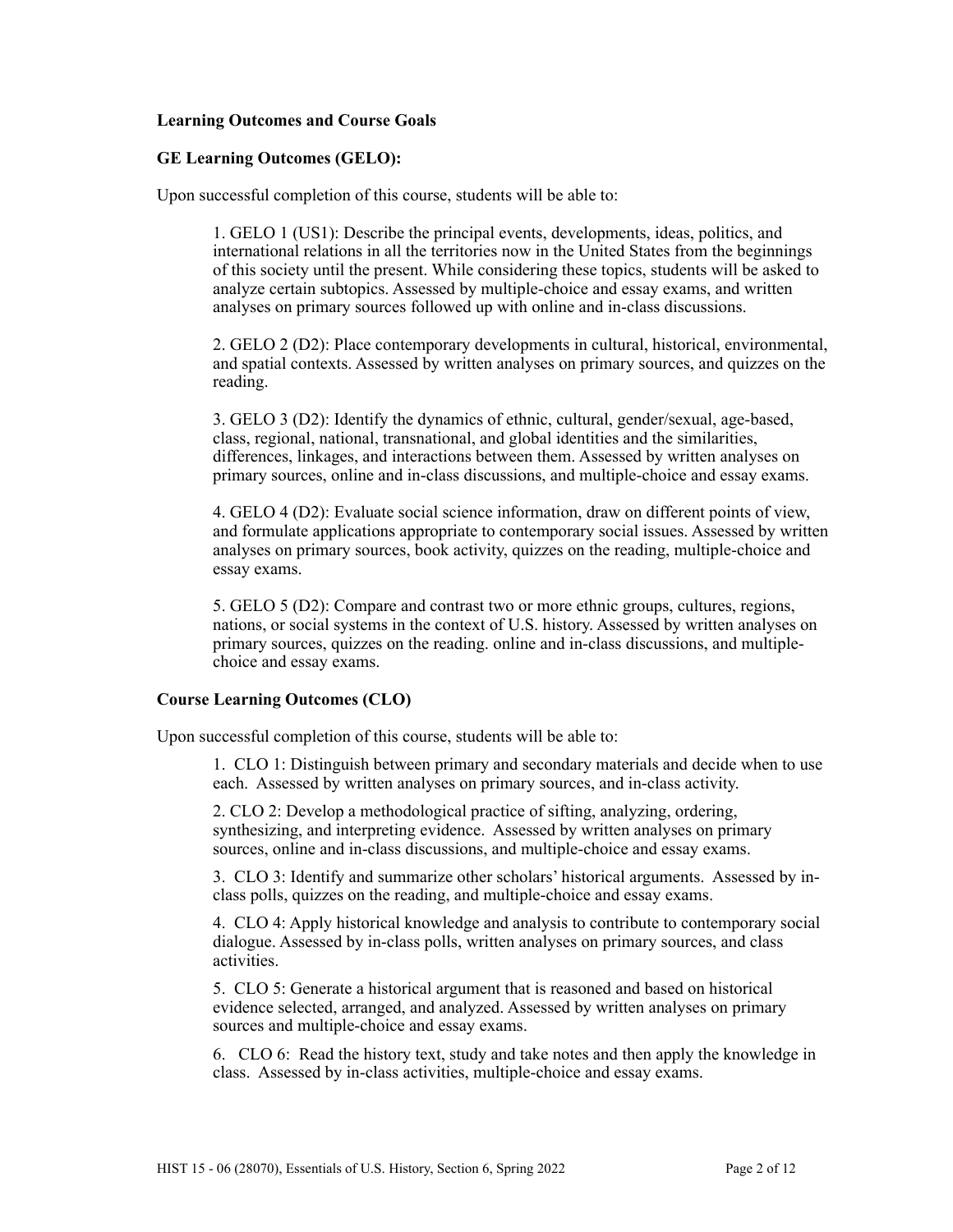#### **Learning Outcomes and Course Goals**

#### **GE Learning Outcomes (GELO):**

Upon successful completion of this course, students will be able to:

1. GELO 1 (US1): Describe the principal events, developments, ideas, politics, and international relations in all the territories now in the United States from the beginnings of this society until the present. While considering these topics, students will be asked to analyze certain subtopics. Assessed by multiple-choice and essay exams, and written analyses on primary sources followed up with online and in-class discussions.

2. GELO 2 (D2): Place contemporary developments in cultural, historical, environmental, and spatial contexts. Assessed by written analyses on primary sources, and quizzes on the reading.

3. GELO 3 (D2): Identify the dynamics of ethnic, cultural, gender/sexual, age-based, class, regional, national, transnational, and global identities and the similarities, differences, linkages, and interactions between them. Assessed by written analyses on primary sources, online and in-class discussions, and multiple-choice and essay exams.

4. GELO 4 (D2): Evaluate social science information, draw on different points of view, and formulate applications appropriate to contemporary social issues. Assessed by written analyses on primary sources, book activity, quizzes on the reading, multiple-choice and essay exams.

5. GELO 5 (D2): Compare and contrast two or more ethnic groups, cultures, regions, nations, or social systems in the context of U.S. history. Assessed by written analyses on primary sources, quizzes on the reading. online and in-class discussions, and multiplechoice and essay exams.

#### **Course Learning Outcomes (CLO)**

Upon successful completion of this course, students will be able to:

1. CLO 1: Distinguish between primary and secondary materials and decide when to use each. Assessed by written analyses on primary sources, and in-class activity.

2. CLO 2: Develop a methodological practice of sifting, analyzing, ordering, synthesizing, and interpreting evidence. Assessed by written analyses on primary sources, online and in-class discussions, and multiple-choice and essay exams.

3. CLO 3: Identify and summarize other scholars' historical arguments. Assessed by inclass polls, quizzes on the reading, and multiple-choice and essay exams.

4. CLO 4: Apply historical knowledge and analysis to contribute to contemporary social dialogue. Assessed by in-class polls, written analyses on primary sources, and class activities.

5. CLO 5: Generate a historical argument that is reasoned and based on historical evidence selected, arranged, and analyzed. Assessed by written analyses on primary sources and multiple-choice and essay exams.

6. CLO 6: Read the history text, study and take notes and then apply the knowledge in class. Assessed by in-class activities, multiple-choice and essay exams.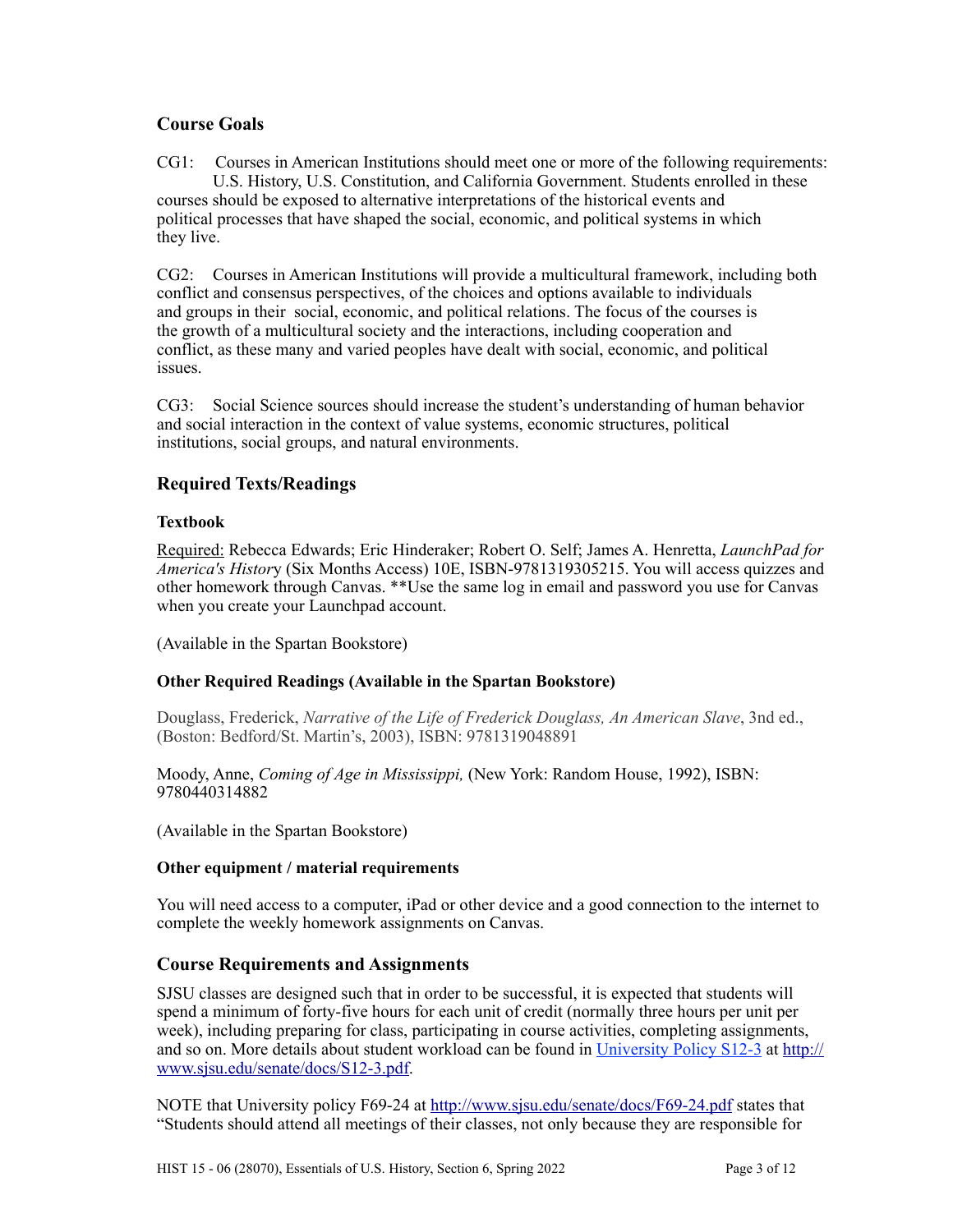## **Course Goals**

CG1: Courses in American Institutions should meet one or more of the following requirements: U.S. History, U.S. Constitution, and California Government. Students enrolled in these courses should be exposed to alternative interpretations of the historical events and political processes that have shaped the social, economic, and political systems in which they live.

CG2: Courses in American Institutions will provide a multicultural framework, including both conflict and consensus perspectives, of the choices and options available to individuals and groups in their social, economic, and political relations. The focus of the courses is the growth of a multicultural society and the interactions, including cooperation and conflict, as these many and varied peoples have dealt with social, economic, and political issues.

CG3: Social Science sources should increase the student's understanding of human behavior and social interaction in the context of value systems, economic structures, political institutions, social groups, and natural environments.

## **Required Texts/Readings**

## **Textbook**

Required: Rebecca Edwards; Eric Hinderaker; Robert O. Self; James A. Henretta, *LaunchPad for America's Histor*y (Six Months Access) 10E, ISBN-9781319305215. You will access quizzes and other homework through Canvas. \*\*Use the same log in email and password you use for Canvas when you create your Launchpad account.

(Available in the Spartan Bookstore)

## **Other Required Readings (Available in the Spartan Bookstore)**

Douglass, Frederick, *Narrative of the Life of Frederick Douglass, An American Slave*, 3nd ed., (Boston: Bedford/St. Martin's, 2003), ISBN: 9781319048891

Moody, Anne, *Coming of Age in Mississippi,* (New York: Random House, 1992), ISBN: 9780440314882

(Available in the Spartan Bookstore)

## **Other equipment / material requirements**

You will need access to a computer, iPad or other device and a good connection to the internet to complete the weekly homework assignments on Canvas.

## **Course Requirements and Assignments**

SJSU classes are designed such that in order to be successful, it is expected that students will spend a minimum of forty-five hours for each unit of credit (normally three hours per unit per week), including preparing for class, participating in course activities, completing assignments, and so on. More details about student workload can be found in [University Policy S12-3](http://www.sjsu.edu/senate/docs/S12-3.pdf) at [http://](http://www.sjsu.edu/senate/docs/S12-3.pdf) [www.sjsu.edu/senate/docs/S12-3.pdf.](http://www.sjsu.edu/senate/docs/S12-3.pdf)

NOTE that University policy F69-24 at <http://www.sjsu.edu/senate/docs/F69-24.pdf>states that "Students should attend all meetings of their classes, not only because they are responsible for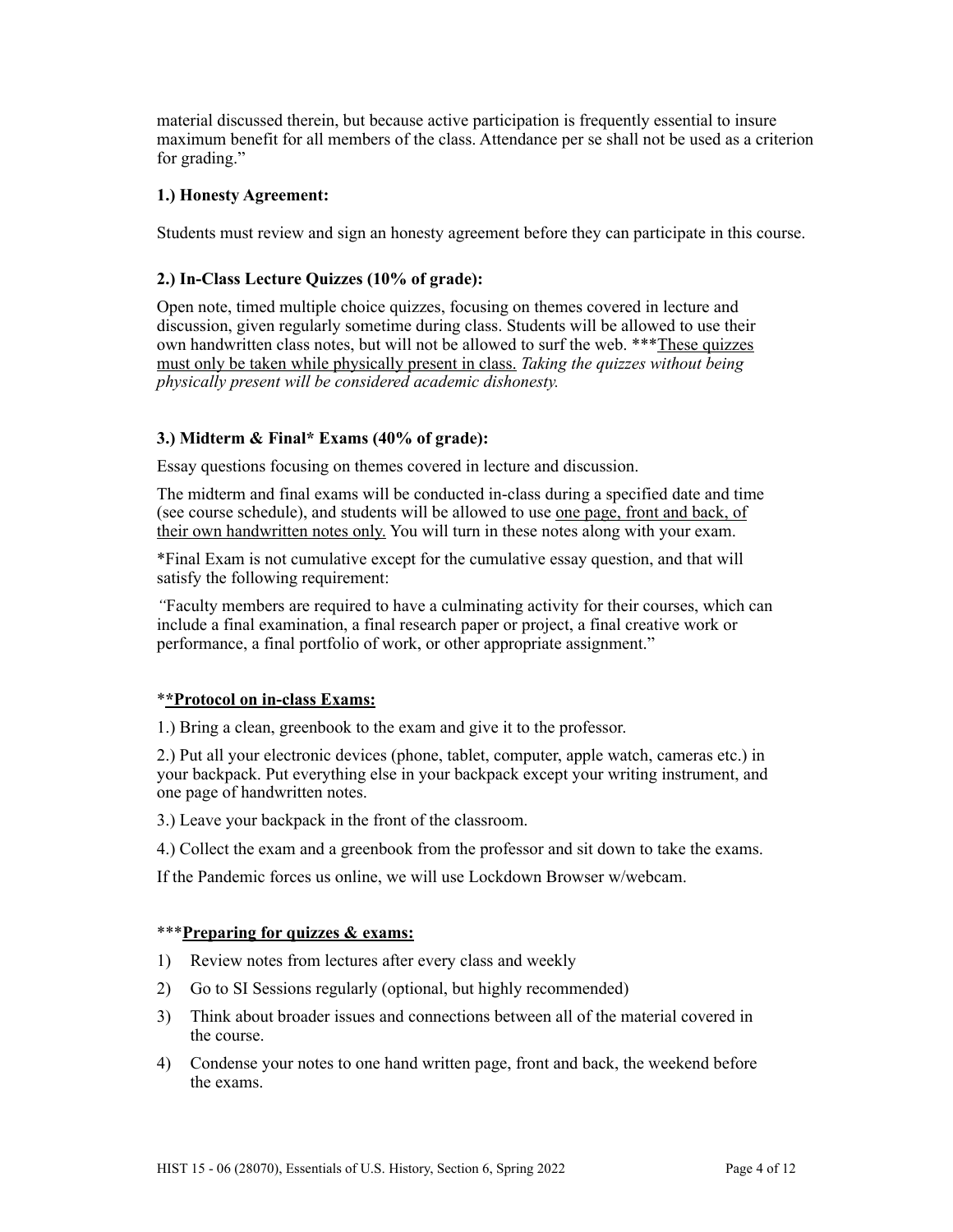material discussed therein, but because active participation is frequently essential to insure maximum benefit for all members of the class. Attendance per se shall not be used as a criterion for grading."

## **1.) Honesty Agreement:**

Students must review and sign an honesty agreement before they can participate in this course.

## **2.) In-Class Lecture Quizzes (10% of grade):**

Open note, timed multiple choice quizzes, focusing on themes covered in lecture and discussion, given regularly sometime during class. Students will be allowed to use their own handwritten class notes, but will not be allowed to surf the web. \*\*\*These quizzes must only be taken while physically present in class. *Taking the quizzes without being physically present will be considered academic dishonesty.*

## **3.) Midterm & Final\* Exams (40% of grade):**

Essay questions focusing on themes covered in lecture and discussion.

The midterm and final exams will be conducted in-class during a specified date and time (see course schedule), and students will be allowed to use one page, front and back, of their own handwritten notes only. You will turn in these notes along with your exam.

\*Final Exam is not cumulative except for the cumulative essay question, and that will satisfy the following requirement:

*"*Faculty members are required to have a culminating activity for their courses, which can include a final examination, a final research paper or project, a final creative work or performance, a final portfolio of work, or other appropriate assignment."

## \***\*Protocol on in-class Exams:**

1.) Bring a clean, greenbook to the exam and give it to the professor.

2.) Put all your electronic devices (phone, tablet, computer, apple watch, cameras etc.) in your backpack. Put everything else in your backpack except your writing instrument, and one page of handwritten notes.

3.) Leave your backpack in the front of the classroom.

4.) Collect the exam and a greenbook from the professor and sit down to take the exams.

If the Pandemic forces us online, we will use Lockdown Browser w/webcam.

## \*\*\***Preparing for quizzes & exams:**

- 1) Review notes from lectures after every class and weekly
- 2) Go to SI Sessions regularly (optional, but highly recommended)
- 3) Think about broader issues and connections between all of the material covered in the course.
- 4) Condense your notes to one hand written page, front and back, the weekend before the exams.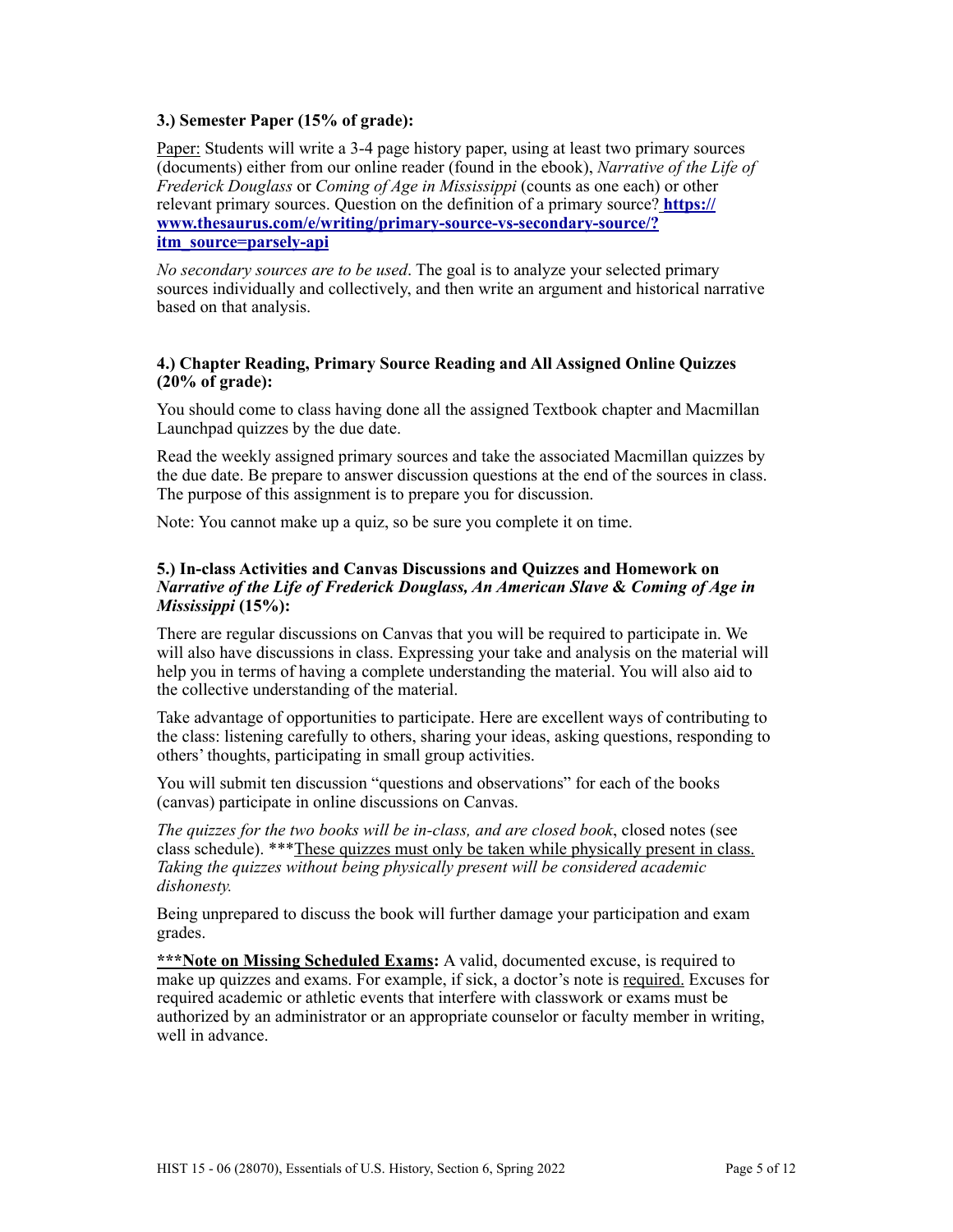## **3.) Semester Paper (15% of grade):**

Paper: Students will write a 3-4 page history paper, using at least two primary sources (documents) either from our online reader (found in the ebook), *Narrative of the Life of Frederick Douglass* or *Coming of Age in Mississippi* (counts as one each) or other relevant primary sources. Question on the definition of a primary source? **[https://](https://www.thesaurus.com/e/writing/primary-source-vs-secondary-source/?itm_source=parsely-api) [www.thesaurus.com/e/writing/primary-source-vs-secondary-source/?](https://www.thesaurus.com/e/writing/primary-source-vs-secondary-source/?itm_source=parsely-api) [itm\\_source=parsely-api](https://www.thesaurus.com/e/writing/primary-source-vs-secondary-source/?itm_source=parsely-api)**

*No secondary sources are to be used*. The goal is to analyze your selected primary sources individually and collectively, and then write an argument and historical narrative based on that analysis.

## **4.) Chapter Reading, Primary Source Reading and All Assigned Online Quizzes (20% of grade):**

You should come to class having done all the assigned Textbook chapter and Macmillan Launchpad quizzes by the due date.

Read the weekly assigned primary sources and take the associated Macmillan quizzes by the due date. Be prepare to answer discussion questions at the end of the sources in class. The purpose of this assignment is to prepare you for discussion.

Note: You cannot make up a quiz, so be sure you complete it on time.

#### **5.) In-class Activities and Canvas Discussions and Quizzes and Homework on**  *Narrative of the Life of Frederick Douglass, An American Slave* **&** *Coming of Age in Mississippi* **(15%):**

There are regular discussions on Canvas that you will be required to participate in. We will also have discussions in class. Expressing your take and analysis on the material will help you in terms of having a complete understanding the material. You will also aid to the collective understanding of the material.

Take advantage of opportunities to participate. Here are excellent ways of contributing to the class: listening carefully to others, sharing your ideas, asking questions, responding to others' thoughts, participating in small group activities.

You will submit ten discussion "questions and observations" for each of the books (canvas) participate in online discussions on Canvas.

*The quizzes for the two books will be in-class, and are closed book*, closed notes (see class schedule). \*\*\*These quizzes must only be taken while physically present in class. *Taking the quizzes without being physically present will be considered academic dishonesty.*

Being unprepared to discuss the book will further damage your participation and exam grades.

\*\*\*Note on Missing Scheduled Exams: A valid, documented excuse, is required to make up quizzes and exams. For example, if sick, a doctor's note is required. Excuses for required academic or athletic events that interfere with classwork or exams must be authorized by an administrator or an appropriate counselor or faculty member in writing, well in advance.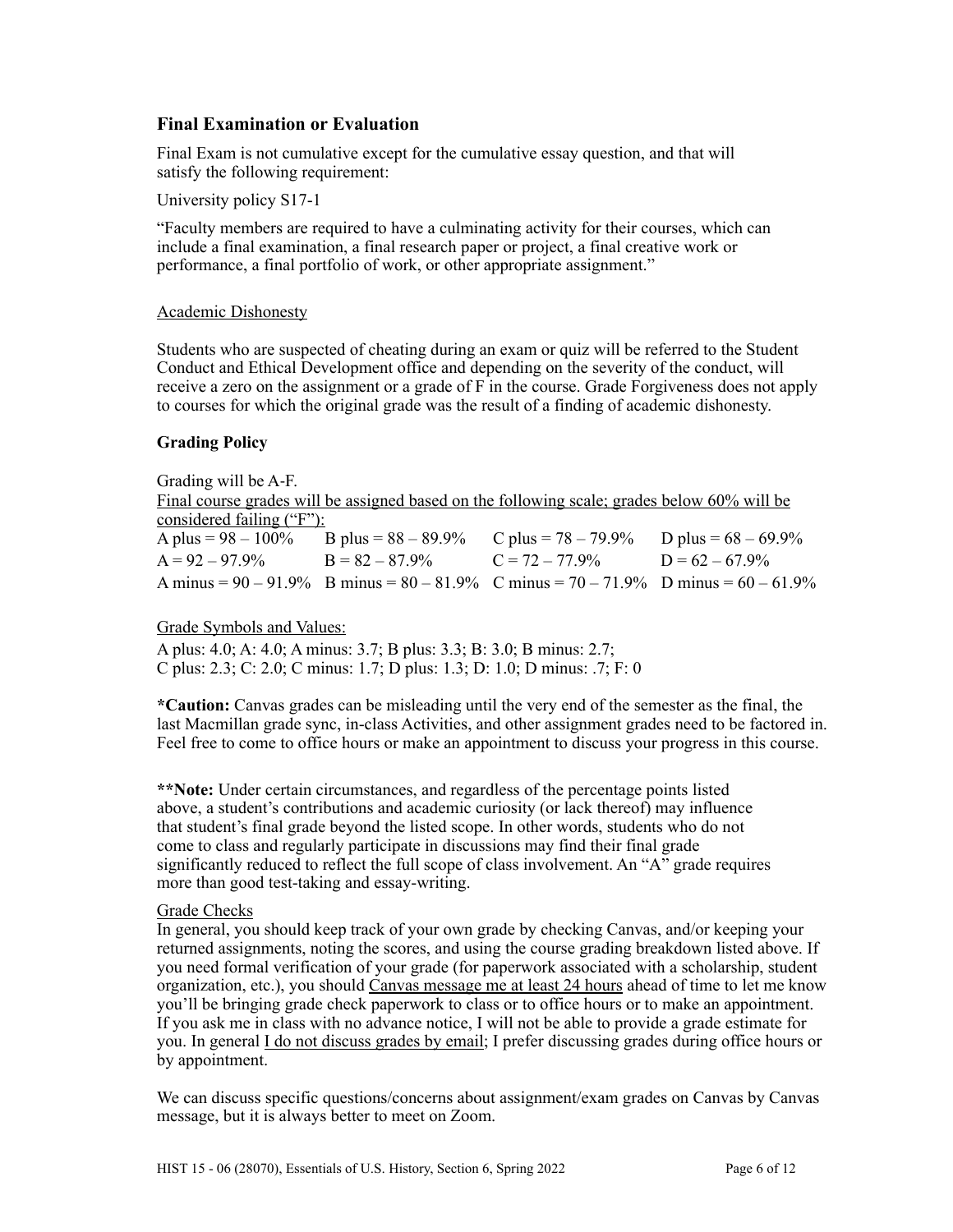## **Final Examination or Evaluation**

Final Exam is not cumulative except for the cumulative essay question, and that will satisfy the following requirement:

University policy S17-1

"Faculty members are required to have a culminating activity for their courses, which can include a final examination, a final research paper or project, a final creative work or performance, a final portfolio of work, or other appropriate assignment."

#### Academic Dishonesty

Students who are suspected of cheating during an exam or quiz will be referred to the Student Conduct and Ethical Development office and depending on the severity of the conduct, will receive a zero on the assignment or a grade of F in the course. Grade Forgiveness does not apply to courses for which the original grade was the result of a finding of academic dishonesty.

#### **Grading Policy**

Grading will be A-F. Final course grades will be assigned based on the following scale; grades below 60% will be considered failing ("F"):<br>A plus =  $98 - 100\%$ B plus =  $88 - 89.9\%$  C plus =  $78 - 79.9\%$  D plus =  $68 - 69.9\%$  $A = 92 - 97.9\%$  B =  $82 - 87.9\%$  C =  $72 - 77.9\%$  D =  $62 - 67.9\%$ A minus =  $90 - 91.9\%$  B minus =  $80 - 81.9\%$  C minus =  $70 - 71.9\%$  D minus =  $60 - 61.9\%$ 

## Grade Symbols and Values:

A plus: 4.0; A: 4.0; A minus: 3.7; B plus: 3.3; B: 3.0; B minus: 2.7; C plus: 2.3; C: 2.0; C minus: 1.7; D plus: 1.3; D: 1.0; D minus: .7; F: 0

**\*Caution:** Canvas grades can be misleading until the very end of the semester as the final, the last Macmillan grade sync, in-class Activities, and other assignment grades need to be factored in. Feel free to come to office hours or make an appointment to discuss your progress in this course.

**\*\*Note:** Under certain circumstances, and regardless of the percentage points listed above, a student's contributions and academic curiosity (or lack thereof) may influence that student's final grade beyond the listed scope. In other words, students who do not come to class and regularly participate in discussions may find their final grade significantly reduced to reflect the full scope of class involvement. An "A" grade requires more than good test-taking and essay-writing.

#### Grade Checks

In general, you should keep track of your own grade by checking Canvas, and/or keeping your returned assignments, noting the scores, and using the course grading breakdown listed above. If you need formal verification of your grade (for paperwork associated with a scholarship, student organization, etc.), you should Canvas message me at least 24 hours ahead of time to let me know you'll be bringing grade check paperwork to class or to office hours or to make an appointment. If you ask me in class with no advance notice, I will not be able to provide a grade estimate for you. In general I do not discuss grades by email; I prefer discussing grades during office hours or by appointment.

We can discuss specific questions/concerns about assignment/exam grades on Canvas by Canvas message, but it is always better to meet on Zoom.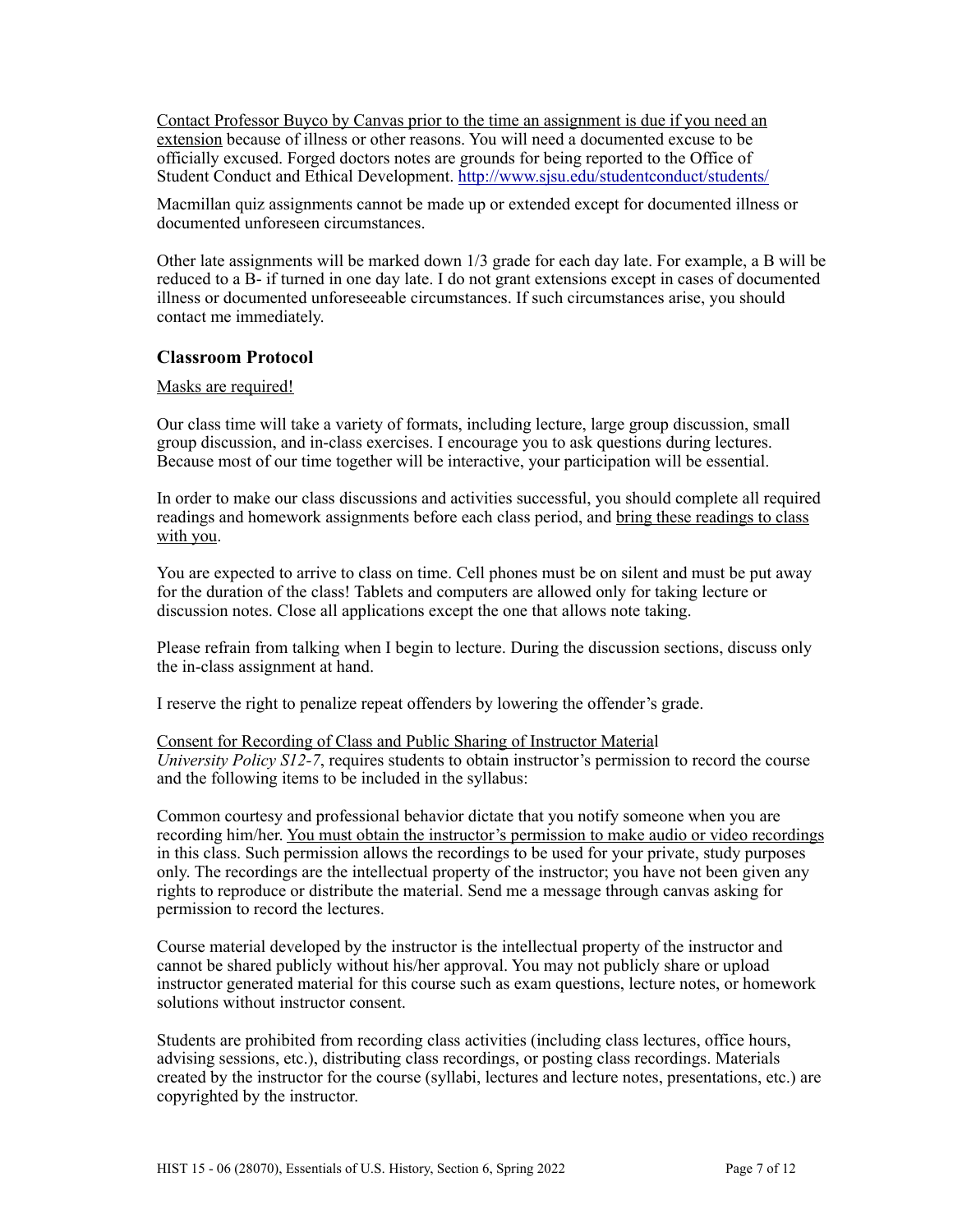Contact Professor Buyco by Canvas prior to the time an assignment is due if you need an extension because of illness or other reasons. You will need a documented excuse to be officially excused. Forged doctors notes are grounds for being reported to the Office of Student Conduct and Ethical Development.<http://www.sjsu.edu/studentconduct/students/>

Macmillan quiz assignments cannot be made up or extended except for documented illness or documented unforeseen circumstances.

Other late assignments will be marked down 1/3 grade for each day late. For example, a B will be reduced to a B- if turned in one day late. I do not grant extensions except in cases of documented illness or documented unforeseeable circumstances. If such circumstances arise, you should contact me immediately.

## **Classroom Protocol**

#### Masks are required!

Our class time will take a variety of formats, including lecture, large group discussion, small group discussion, and in-class exercises. I encourage you to ask questions during lectures. Because most of our time together will be interactive, your participation will be essential.

In order to make our class discussions and activities successful, you should complete all required readings and homework assignments before each class period, and bring these readings to class with you.

You are expected to arrive to class on time. Cell phones must be on silent and must be put away for the duration of the class! Tablets and computers are allowed only for taking lecture or discussion notes. Close all applications except the one that allows note taking.

Please refrain from talking when I begin to lecture. During the discussion sections, discuss only the in-class assignment at hand.

I reserve the right to penalize repeat offenders by lowering the offender's grade.

Consent for Recording of Class and Public Sharing of Instructor Material *University Policy S12-7*, requires students to obtain instructor's permission to record the course and the following items to be included in the syllabus:

Common courtesy and professional behavior dictate that you notify someone when you are recording him/her. You must obtain the instructor's permission to make audio or video recordings in this class. Such permission allows the recordings to be used for your private, study purposes only. The recordings are the intellectual property of the instructor; you have not been given any rights to reproduce or distribute the material. Send me a message through canvas asking for permission to record the lectures.

Course material developed by the instructor is the intellectual property of the instructor and cannot be shared publicly without his/her approval. You may not publicly share or upload instructor generated material for this course such as exam questions, lecture notes, or homework solutions without instructor consent.

Students are prohibited from recording class activities (including class lectures, office hours, advising sessions, etc.), distributing class recordings, or posting class recordings. Materials created by the instructor for the course (syllabi, lectures and lecture notes, presentations, etc.) are copyrighted by the instructor.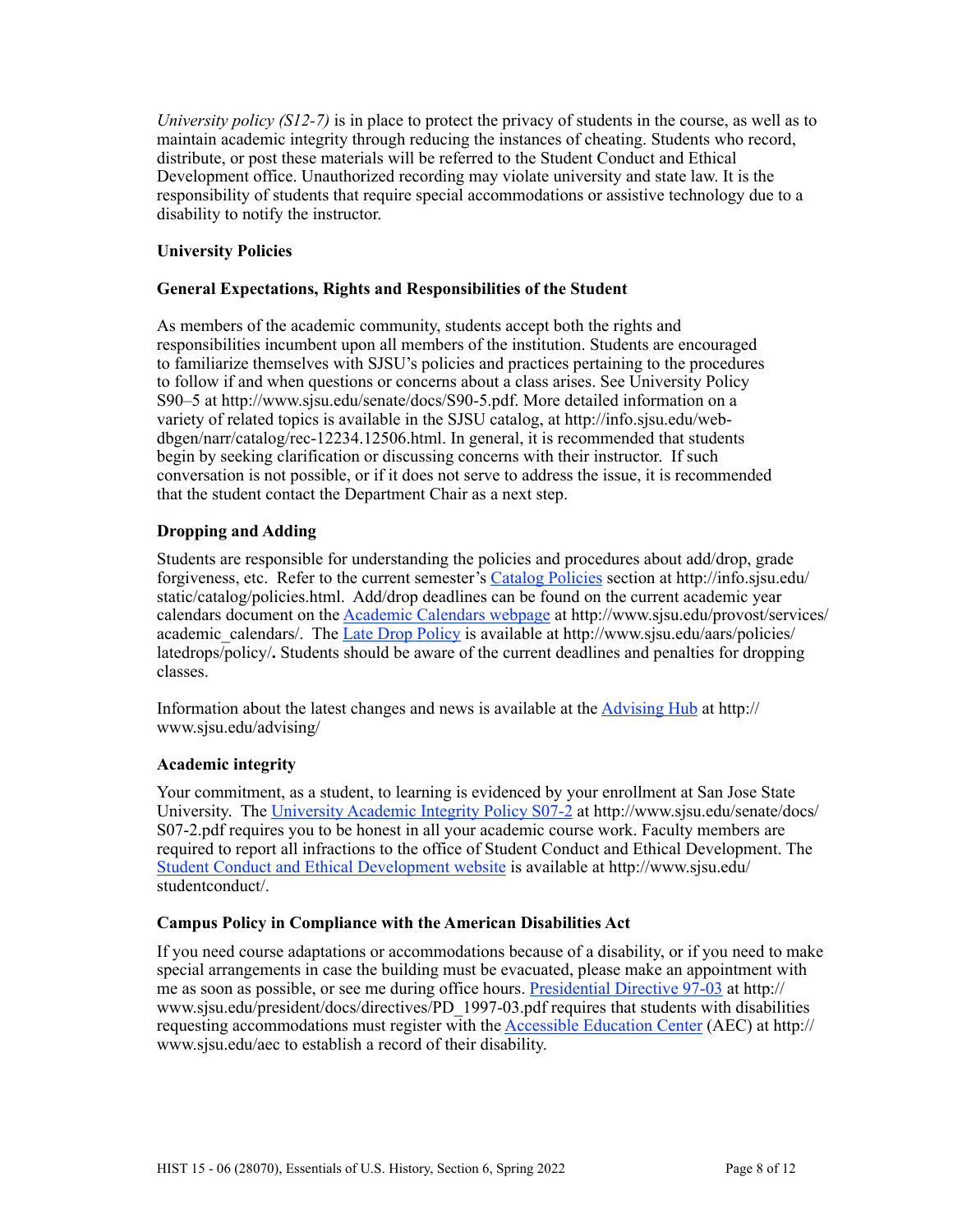*University policy (S12-7)* is in place to protect the privacy of students in the course, as well as to maintain academic integrity through reducing the instances of cheating. Students who record, distribute, or post these materials will be referred to the Student Conduct and Ethical Development office. Unauthorized recording may violate university and state law. It is the responsibility of students that require special accommodations or assistive technology due to a disability to notify the instructor.

## **University Policies**

## **General Expectations, Rights and Responsibilities of the Student**

As members of the academic community, students accept both the rights and responsibilities incumbent upon all members of the institution. Students are encouraged to familiarize themselves with SJSU's policies and practices pertaining to the procedures to follow if and when questions or concerns about a class arises. See University Policy S90–5 at http://www.sjsu.edu/senate/docs/S90-5.pdf. More detailed information on a variety of related topics is available in the SJSU catalog, at http://info.sjsu.edu/webdbgen/narr/catalog/rec-12234.12506.html. In general, it is recommended that students begin by seeking clarification or discussing concerns with their instructor. If such conversation is not possible, or if it does not serve to address the issue, it is recommended that the student contact the Department Chair as a next step.

## **Dropping and Adding**

Students are responsible for understanding the policies and procedures about add/drop, grade forgiveness, etc. Refer to the current semester's [Catalog Policies](http://info.sjsu.edu/static/catalog/policies.html) section at http://info.sjsu.edu/ static/catalog/policies.html. Add/drop deadlines can be found on the current academic year calendars document on the [Academic Calendars webpage](http://www.sjsu.edu/provost/services/academic_calendars/) at http://www.sjsu.edu/provost/services/ academic\_calendars/. The [Late Drop Policy](http://www.sjsu.edu/aars) is available at http://www.sjsu.edu/aars/policies/ latedrops/policy/**.** Students should be aware of the current deadlines and penalties for dropping classes.

Information about the latest changes and news is available at the [Advising Hub](http://www.sjsu.edu/advising/) at http:// www.sjsu.edu/advising/

## **Academic integrity**

Your commitment, as a student, to learning is evidenced by your enrollment at San Jose State University. The [University Academic Integrity Policy S07-2](http://www.sjsu.edu/senate/docs/S07-2.pdf) at http://www.sjsu.edu/senate/docs/ S07-2.pdf requires you to be honest in all your academic course work. Faculty members are required to report all infractions to the office of Student Conduct and Ethical Development. The [Student Conduct and Ethical Development website](http://www.sjsu.edu/studentconduct/) is available at http://www.sjsu.edu/ studentconduct/.

## **Campus Policy in Compliance with the American Disabilities Act**

If you need course adaptations or accommodations because of a disability, or if you need to make special arrangements in case the building must be evacuated, please make an appointment with me as soon as possible, or see me during office hours. [Presidential Directive 97-03](http://www.sjsu.edu/president/docs/directives/PD_1997-03.pdf) at http:// www.sjsu.edu/president/docs/directives/PD\_1997-03.pdf requires that students with disabilities requesting accommodations must register with the [Accessible Education Center](http://www.sjsu.edu/aec) (AEC) at http:// www.sjsu.edu/aec to establish a record of their disability.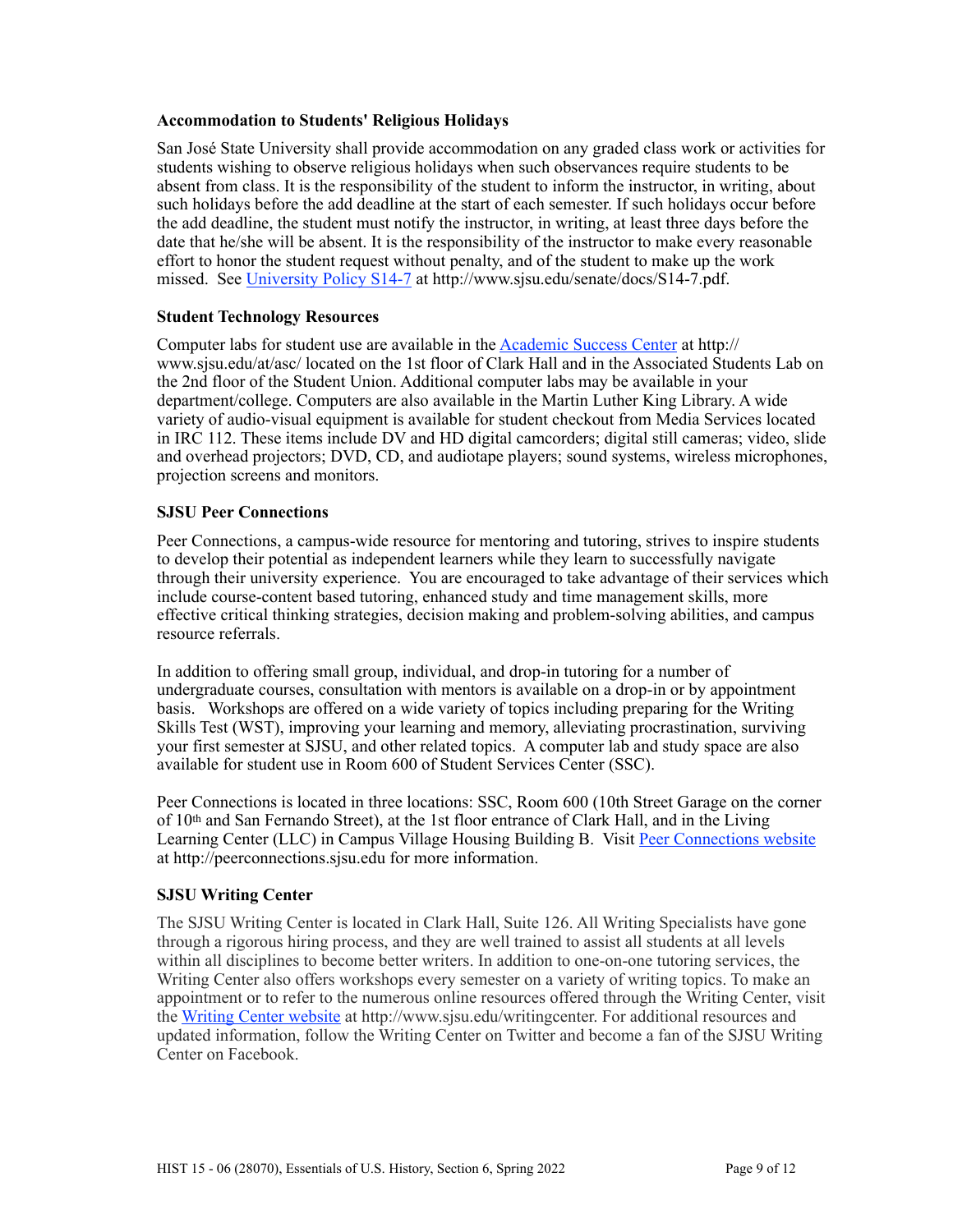## **Accommodation to Students' Religious Holidays**

San José State University shall provide accommodation on any graded class work or activities for students wishing to observe religious holidays when such observances require students to be absent from class. It is the responsibility of the student to inform the instructor, in writing, about such holidays before the add deadline at the start of each semester. If such holidays occur before the add deadline, the student must notify the instructor, in writing, at least three days before the date that he/she will be absent. It is the responsibility of the instructor to make every reasonable effort to honor the student request without penalty, and of the student to make up the work missed. See [University Policy S14-7](http://www.sjsu.edu/senate/docs/S14-7.pdf) at http://www.sjsu.edu/senate/docs/S14-7.pdf.

## **Student Technology Resources**

Computer labs for student use are available in the Academic Success Center at http:// www.sjsu.edu/at/asc/ located on the 1st floor of Clark Hall and in the Associated Students Lab on the 2nd floor of the Student Union. Additional computer labs may be available in your department/college. Computers are also available in the Martin Luther King Library. A wide variety of audio-visual equipment is available for student checkout from Media Services located in IRC 112. These items include DV and HD digital camcorders; digital still cameras; video, slide and overhead projectors; DVD, CD, and audiotape players; sound systems, wireless microphones, projection screens and monitors.

## **SJSU Peer Connections**

Peer Connections, a campus-wide resource for mentoring and tutoring, strives to inspire students to develop their potential as independent learners while they learn to successfully navigate through their university experience. You are encouraged to take advantage of their services which include course-content based tutoring, enhanced study and time management skills, more effective critical thinking strategies, decision making and problem-solving abilities, and campus resource referrals.

In addition to offering small group, individual, and drop-in tutoring for a number of undergraduate courses, consultation with mentors is available on a drop-in or by appointment basis. Workshops are offered on a wide variety of topics including preparing for the Writing Skills Test (WST), improving your learning and memory, alleviating procrastination, surviving your first semester at SJSU, and other related topics. A computer lab and study space are also available for student use in Room 600 of Student Services Center (SSC).

Peer Connections is located in three locations: SSC, Room 600 (10th Street Garage on the corner of 10th and San Fernando Street), at the 1st floor entrance of Clark Hall, and in the Living Learning Center (LLC) in Campus Village Housing Building B. Visit [Peer Connections website](http://peerconnections.sjsu.edu) at http://peerconnections.sjsu.edu for more information.

## **SJSU Writing Center**

The SJSU Writing Center is located in Clark Hall, Suite 126. All Writing Specialists have gone through a rigorous hiring process, and they are well trained to assist all students at all levels within all disciplines to become better writers. In addition to one-on-one tutoring services, the Writing Center also offers workshops every semester on a variety of writing topics. To make an appointment or to refer to the numerous online resources offered through the Writing Center, visit the [Writing Center website](http://www.sjsu.edu/writingcenter) at http://www.sjsu.edu/writingcenter. For additional resources and updated information, follow the Writing Center on Twitter and become a fan of the SJSU Writing Center on Facebook.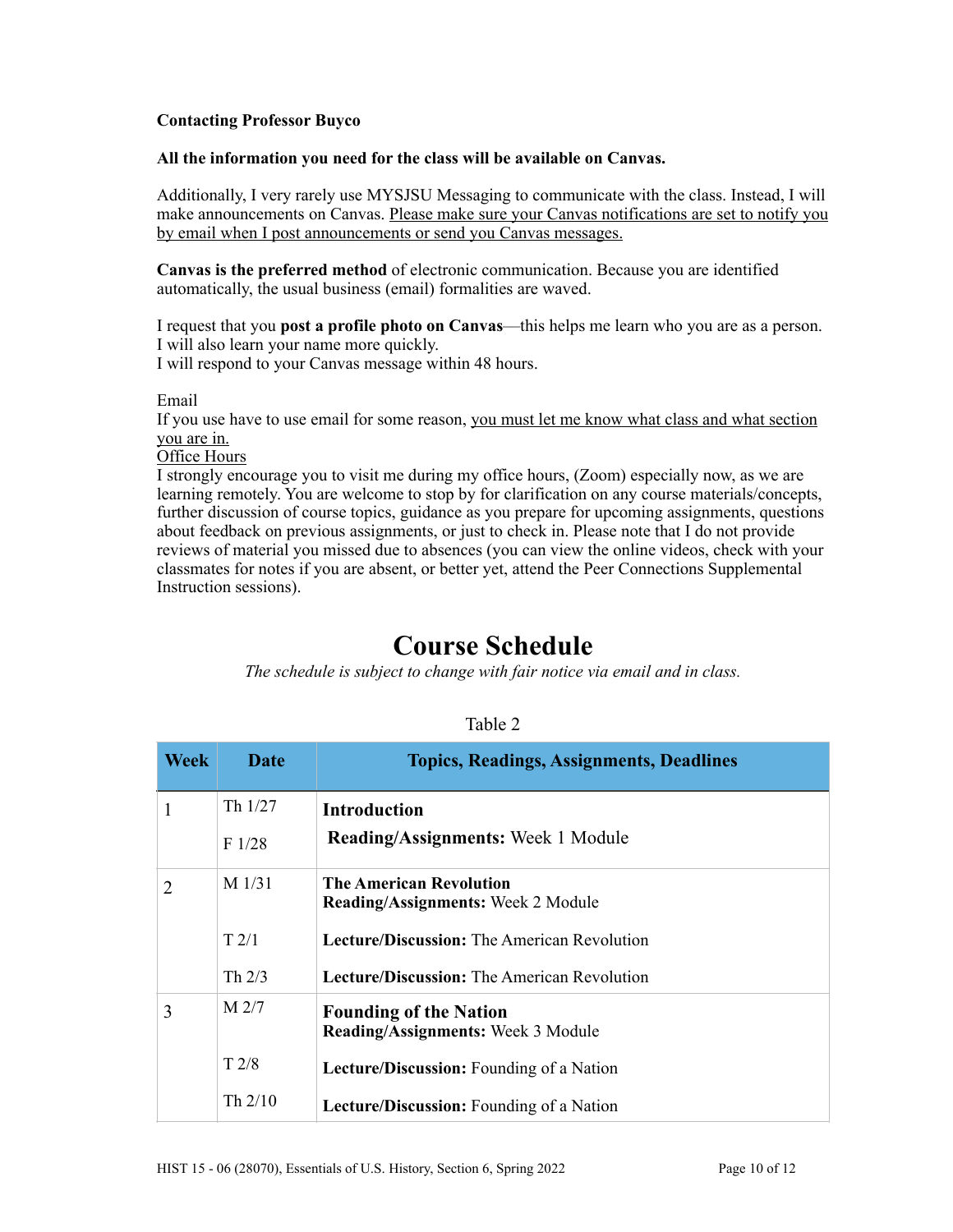## **Contacting Professor Buyco**

#### **All the information you need for the class will be available on Canvas.**

Additionally, I very rarely use MYSJSU Messaging to communicate with the class. Instead, I will make announcements on Canvas. Please make sure your Canvas notifications are set to notify you by email when I post announcements or send you Canvas messages.

**Canvas is the preferred method** of electronic communication. Because you are identified automatically, the usual business (email) formalities are waved.

I request that you **post a profile photo on Canvas**––this helps me learn who you are as a person. I will also learn your name more quickly. I will respond to your Canvas message within 48 hours.

Email

If you use have to use email for some reason, you must let me know what class and what section you are in.

Office Hours

I strongly encourage you to visit me during my office hours, (Zoom) especially now, as we are learning remotely. You are welcome to stop by for clarification on any course materials/concepts, further discussion of course topics, guidance as you prepare for upcoming assignments, questions about feedback on previous assignments, or just to check in. Please note that I do not provide reviews of material you missed due to absences (you can view the online videos, check with your classmates for notes if you are absent, or better yet, attend the Peer Connections Supplemental Instruction sessions).

# **Course Schedule**

*The schedule is subject to change with fair notice via email and in class.*

| . . | D. |  |
|-----|----|--|
|     |    |  |

| <b>Week</b> | <b>Date</b>      | <b>Topics, Readings, Assignments, Deadlines</b>                             |
|-------------|------------------|-----------------------------------------------------------------------------|
|             | Th $1/27$        | Introduction                                                                |
|             | F1/28            | <b>Reading/Assignments:</b> Week 1 Module                                   |
| 2           | $M$ 1/31         | <b>The American Revolution</b><br><b>Reading/Assignments:</b> Week 2 Module |
|             | T2/1             | <b>Lecture/Discussion:</b> The American Revolution                          |
|             | Th $2/3$         | <b>Lecture/Discussion:</b> The American Revolution                          |
| 3           | M <sub>2/7</sub> | <b>Founding of the Nation</b><br><b>Reading/Assignments:</b> Week 3 Module  |
|             | T2/8             | Lecture/Discussion: Founding of a Nation                                    |
|             | Th $2/10$        | <b>Lecture/Discussion:</b> Founding of a Nation                             |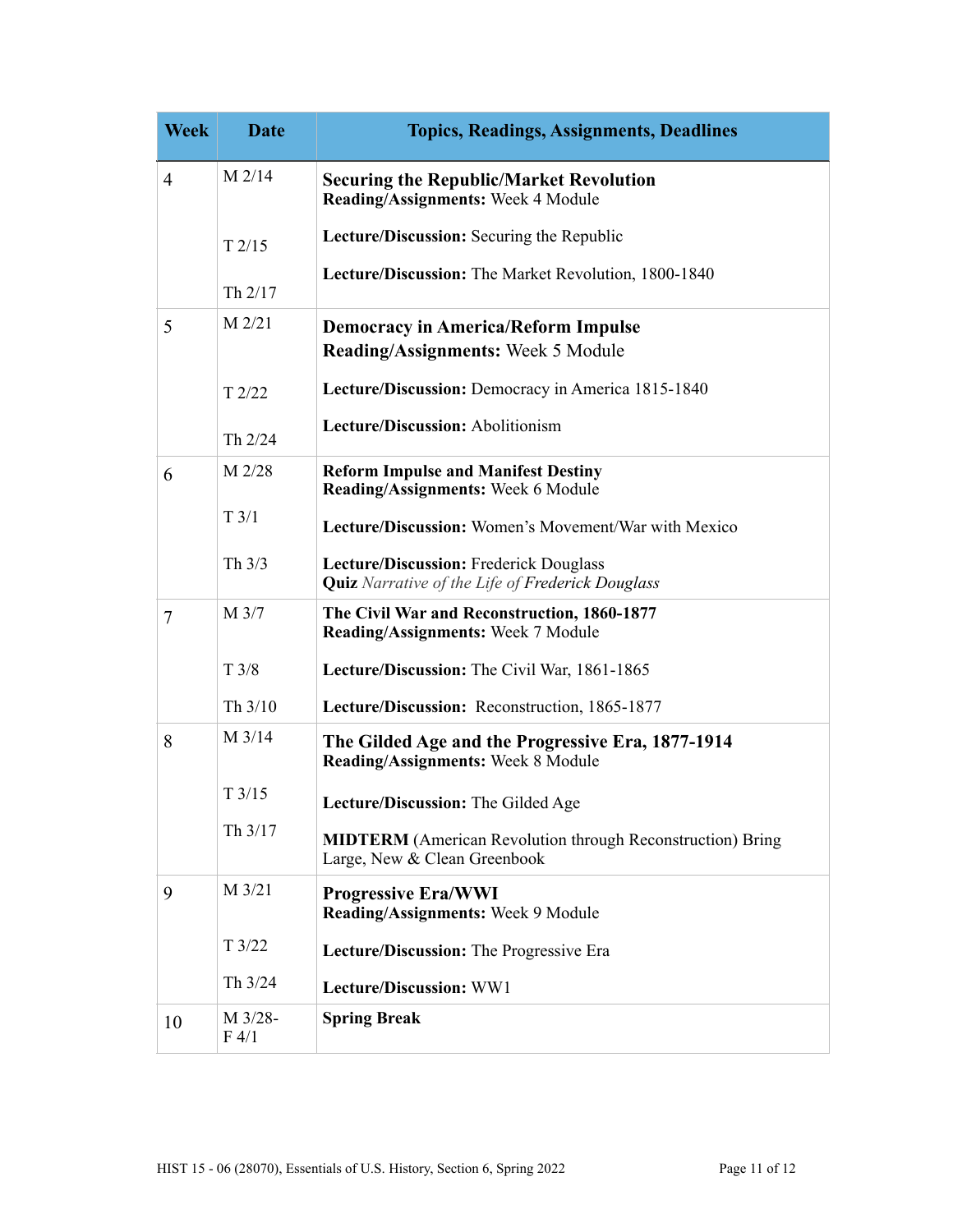| <b>Week</b>    | <b>Date</b>      | <b>Topics, Readings, Assignments, Deadlines</b>                                                   |
|----------------|------------------|---------------------------------------------------------------------------------------------------|
| $\overline{4}$ | $M$ 2/14         | <b>Securing the Republic/Market Revolution</b><br>Reading/Assignments: Week 4 Module              |
|                | T2/15            | Lecture/Discussion: Securing the Republic                                                         |
|                | Th 2/17          | Lecture/Discussion: The Market Revolution, 1800-1840                                              |
| 5              | $M$ 2/21         | <b>Democracy in America/Reform Impulse</b><br>Reading/Assignments: Week 5 Module                  |
|                | T2/22            | Lecture/Discussion: Democracy in America 1815-1840                                                |
|                | Th 2/24          | Lecture/Discussion: Abolitionism                                                                  |
| 6              | M 2/28           | <b>Reform Impulse and Manifest Destiny</b><br>Reading/Assignments: Week 6 Module                  |
|                | $T \frac{3}{1}$  | Lecture/Discussion: Women's Movement/War with Mexico                                              |
|                | Th $3/3$         | Lecture/Discussion: Frederick Douglass<br><b>Quiz</b> Narrative of the Life of Frederick Douglass |
| $\tau$         | M 3/7            | The Civil War and Reconstruction, 1860-1877<br>Reading/Assignments: Week 7 Module                 |
|                | T3/8             | Lecture/Discussion: The Civil War, 1861-1865                                                      |
|                | Th 3/10          | Lecture/Discussion: Reconstruction, 1865-1877                                                     |
| 8              | M 3/14           | The Gilded Age and the Progressive Era, 1877-1914<br><b>Reading/Assignments: Week 8 Module</b>    |
|                | T3/15            | Lecture/Discussion: The Gilded Age                                                                |
|                | Th 3/17          | <b>MIDTERM</b> (American Revolution through Reconstruction) Bring<br>Large, New & Clean Greenbook |
| 9              | M 3/21           | <b>Progressive Era/WWI</b><br>Reading/Assignments: Week 9 Module                                  |
|                | T3/22            | Lecture/Discussion: The Progressive Era                                                           |
|                | Th 3/24          | Lecture/Discussion: WW1                                                                           |
| 10             | M 3/28-<br>F 4/1 | <b>Spring Break</b>                                                                               |